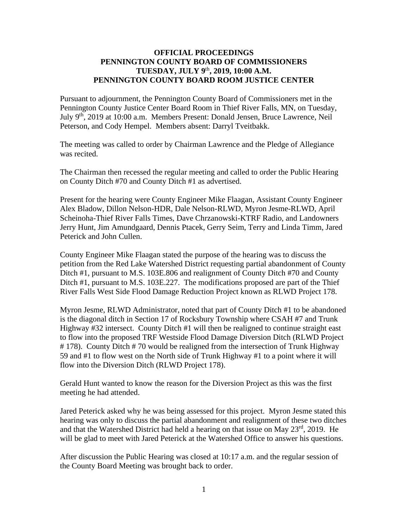### **OFFICIAL PROCEEDINGS PENNINGTON COUNTY BOARD OF COMMISSIONERS TUESDAY, JULY 9** th **, 2019, 10:00 A.M. PENNINGTON COUNTY BOARD ROOM JUSTICE CENTER**

Pursuant to adjournment, the Pennington County Board of Commissioners met in the Pennington County Justice Center Board Room in Thief River Falls, MN, on Tuesday, July 9<sup>th</sup>, 2019 at 10:00 a.m. Members Present: Donald Jensen, Bruce Lawrence, Neil Peterson, and Cody Hempel. Members absent: Darryl Tveitbakk.

The meeting was called to order by Chairman Lawrence and the Pledge of Allegiance was recited.

The Chairman then recessed the regular meeting and called to order the Public Hearing on County Ditch #70 and County Ditch #1 as advertised.

Present for the hearing were County Engineer Mike Flaagan, Assistant County Engineer Alex Bladow, Dillon Nelson-HDR, Dale Nelson-RLWD, Myron Jesme-RLWD, April Scheinoha-Thief River Falls Times, Dave Chrzanowski-KTRF Radio, and Landowners Jerry Hunt, Jim Amundgaard, Dennis Ptacek, Gerry Seim, Terry and Linda Timm, Jared Peterick and John Cullen.

County Engineer Mike Flaagan stated the purpose of the hearing was to discuss the petition from the Red Lake Watershed District requesting partial abandonment of County Ditch #1, pursuant to M.S. 103E.806 and realignment of County Ditch #70 and County Ditch #1, pursuant to M.S. 103E.227. The modifications proposed are part of the Thief River Falls West Side Flood Damage Reduction Project known as RLWD Project 178.

Myron Jesme, RLWD Administrator, noted that part of County Ditch #1 to be abandoned is the diagonal ditch in Section 17 of Rocksbury Township where CSAH #7 and Trunk Highway #32 intersect. County Ditch #1 will then be realigned to continue straight east to flow into the proposed TRF Westside Flood Damage Diversion Ditch (RLWD Project # 178). County Ditch # 70 would be realigned from the intersection of Trunk Highway 59 and #1 to flow west on the North side of Trunk Highway #1 to a point where it will flow into the Diversion Ditch (RLWD Project 178).

Gerald Hunt wanted to know the reason for the Diversion Project as this was the first meeting he had attended.

Jared Peterick asked why he was being assessed for this project. Myron Jesme stated this hearing was only to discuss the partial abandonment and realignment of these two ditches and that the Watershed District had held a hearing on that issue on May 23rd, 2019. He will be glad to meet with Jared Peterick at the Watershed Office to answer his questions.

After discussion the Public Hearing was closed at 10:17 a.m. and the regular session of the County Board Meeting was brought back to order.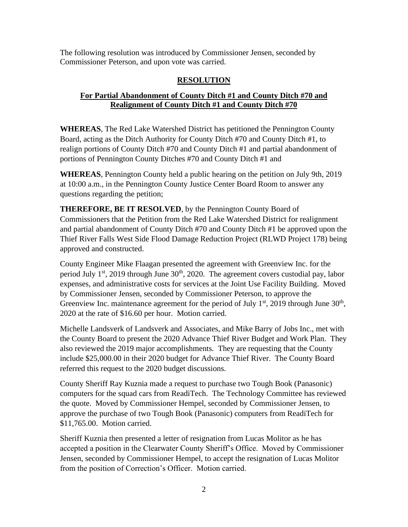The following resolution was introduced by Commissioner Jensen, seconded by Commissioner Peterson, and upon vote was carried.

# **RESOLUTION**

## **For Partial Abandonment of County Ditch #1 and County Ditch #70 and Realignment of County Ditch #1 and County Ditch #70**

**WHEREAS**, The Red Lake Watershed District has petitioned the Pennington County Board, acting as the Ditch Authority for County Ditch #70 and County Ditch #1, to realign portions of County Ditch #70 and County Ditch #1 and partial abandonment of portions of Pennington County Ditches #70 and County Ditch #1 and

**WHEREAS**, Pennington County held a public hearing on the petition on July 9th, 2019 at 10:00 a.m., in the Pennington County Justice Center Board Room to answer any questions regarding the petition;

**THEREFORE, BE IT RESOLVED**, by the Pennington County Board of Commissioners that the Petition from the Red Lake Watershed District for realignment and partial abandonment of County Ditch #70 and County Ditch #1 be approved upon the Thief River Falls West Side Flood Damage Reduction Project (RLWD Project 178) being approved and constructed.

County Engineer Mike Flaagan presented the agreement with Greenview Inc. for the period July  $1<sup>st</sup>$ , 2019 through June  $30<sup>th</sup>$ , 2020. The agreement covers custodial pay, labor expenses, and administrative costs for services at the Joint Use Facility Building. Moved by Commissioner Jensen, seconded by Commissioner Peterson, to approve the Greenview Inc. maintenance agreement for the period of July  $1<sup>st</sup>$ , 2019 through June  $30<sup>th</sup>$ , 2020 at the rate of \$16.60 per hour. Motion carried.

Michelle Landsverk of Landsverk and Associates, and Mike Barry of Jobs Inc., met with the County Board to present the 2020 Advance Thief River Budget and Work Plan. They also reviewed the 2019 major accomplishments. They are requesting that the County include \$25,000.00 in their 2020 budget for Advance Thief River. The County Board referred this request to the 2020 budget discussions.

County Sheriff Ray Kuznia made a request to purchase two Tough Book (Panasonic) computers for the squad cars from ReadiTech. The Technology Committee has reviewed the quote. Moved by Commissioner Hempel, seconded by Commissioner Jensen, to approve the purchase of two Tough Book (Panasonic) computers from ReadiTech for \$11,765.00. Motion carried.

Sheriff Kuznia then presented a letter of resignation from Lucas Molitor as he has accepted a position in the Clearwater County Sheriff's Office. Moved by Commissioner Jensen, seconded by Commissioner Hempel, to accept the resignation of Lucas Molitor from the position of Correction's Officer. Motion carried.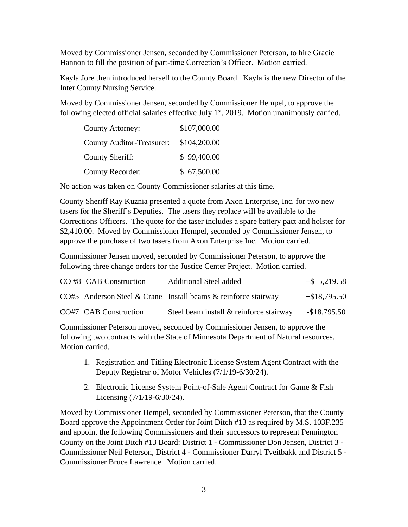Moved by Commissioner Jensen, seconded by Commissioner Peterson, to hire Gracie Hannon to fill the position of part-time Correction's Officer. Motion carried.

Kayla Jore then introduced herself to the County Board. Kayla is the new Director of the Inter County Nursing Service.

Moved by Commissioner Jensen, seconded by Commissioner Hempel, to approve the following elected official salaries effective July  $1<sup>st</sup>$ , 2019. Motion unanimously carried.

| <b>County Attorney:</b>          | \$107,000.00 |
|----------------------------------|--------------|
| <b>County Auditor-Treasurer:</b> | \$104,200.00 |
| <b>County Sheriff:</b>           | \$99,400.00  |
| <b>County Recorder:</b>          | \$67,500.00  |

No action was taken on County Commissioner salaries at this time.

County Sheriff Ray Kuznia presented a quote from Axon Enterprise, Inc. for two new tasers for the Sheriff's Deputies. The tasers they replace will be available to the Corrections Officers. The quote for the taser includes a spare battery pact and holster for \$2,410.00. Moved by Commissioner Hempel, seconded by Commissioner Jensen, to approve the purchase of two tasers from Axon Enterprise Inc. Motion carried.

Commissioner Jensen moved, seconded by Commissioner Peterson, to approve the following three change orders for the Justice Center Project. Motion carried.

| CO#8 CAB Construction | Additional Steel added                                         | $+$ \$ 5,219.58 |
|-----------------------|----------------------------------------------------------------|-----------------|
|                       | CO#5 Anderson Steel & Crane Install beams & reinforce stairway | $+$ \$18,795.50 |
| CO#7 CAB Construction | Steel beam install & reinforce stairway                        | $-$18,795.50$   |

Commissioner Peterson moved, seconded by Commissioner Jensen, to approve the following two contracts with the State of Minnesota Department of Natural resources. Motion carried.

- 1. Registration and Titling Electronic License System Agent Contract with the Deputy Registrar of Motor Vehicles (7/1/19-6/30/24).
- 2. Electronic License System Point-of-Sale Agent Contract for Game & Fish Licensing (7/1/19-6/30/24).

Moved by Commissioner Hempel, seconded by Commissioner Peterson, that the County Board approve the Appointment Order for Joint Ditch #13 as required by M.S. 103F.235 and appoint the following Commissioners and their successors to represent Pennington County on the Joint Ditch #13 Board: District 1 - Commissioner Don Jensen, District 3 - Commissioner Neil Peterson, District 4 - Commissioner Darryl Tveitbakk and District 5 - Commissioner Bruce Lawrence. Motion carried.